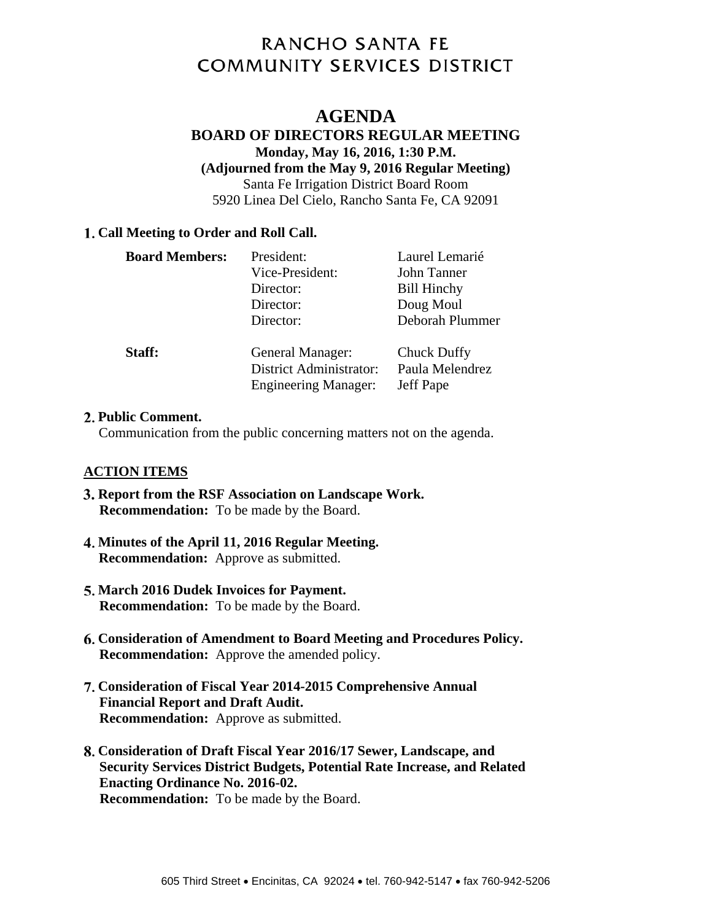# **RANCHO SANTA FE COMMUNITY SERVICES DISTRICT**

# **AGENDA**

#### **BOARD OF DIRECTORS REGULAR MEETING Monday, May 16, 2016, 1:30 P.M. (Adjourned from the May 9, 2016 Regular Meeting)**  Santa Fe Irrigation District Board Room 5920 Linea Del Cielo, Rancho Santa Fe, CA 92091

#### **Call Meeting to Order and Roll Call.**

| <b>Board Members:</b> | President:<br>Vice-President:<br>Director:<br>Director:<br>Director:              | Laurel Lemarié<br>John Tanner<br><b>Bill Hinchy</b><br>Doug Moul<br>Deborah Plummer |
|-----------------------|-----------------------------------------------------------------------------------|-------------------------------------------------------------------------------------|
| Staff:                | General Manager:<br><b>District Administrator:</b><br><b>Engineering Manager:</b> | <b>Chuck Duffy</b><br>Paula Melendrez<br>Jeff Pape                                  |

#### **Public Comment.**

Communication from the public concerning matters not on the agenda.

#### **ACTION ITEMS**

- **Report from the RSF Association on Landscape Work. Recommendation:** To be made by the Board.
- **Minutes of the April 11, 2016 Regular Meeting. Recommendation:** Approve as submitted.
- **March 2016 Dudek Invoices for Payment. Recommendation:** To be made by the Board.
- **Consideration of Amendment to Board Meeting and Procedures Policy. Recommendation:** Approve the amended policy.
- **Consideration of Fiscal Year 2014-2015 Comprehensive Annual Financial Report and Draft Audit. Recommendation:** Approve as submitted.
- **Consideration of Draft Fiscal Year 2016/17 Sewer, Landscape, and Security Services District Budgets, Potential Rate Increase, and Related Enacting Ordinance No. 2016-02. Recommendation:** To be made by the Board.